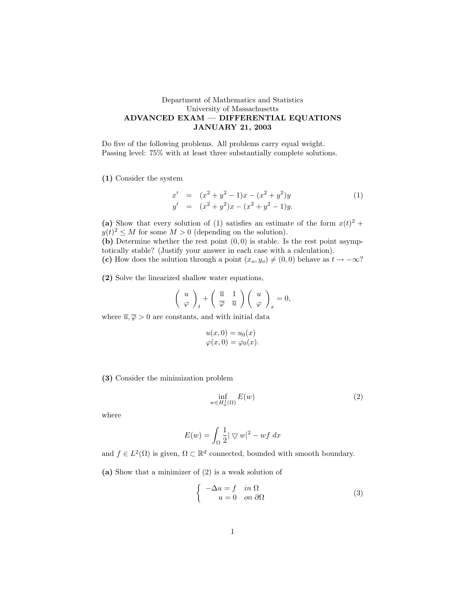## Department of Mathematics and Statistics University of Massachusetts ADVANCED EXAM — DIFFERENTIAL EQUATIONS JANUARY 21, 2003

Do five of the following problems. All problems carry equal weight. Passing level: 75% with at least three substantially complete solutions.

(1) Consider the system

$$
x' = (x2 + y2 - 1)x - (x2 + y2)y
$$
  
\n
$$
y' = (x2 + y2)x - (x2 + y2 - 1)y.
$$
\n(1)

(a) Show that every solution of (1) satisfies an estimate of the form  $x(t)^2 +$  $y(t)^2 \leq M$  for some  $M > 0$  (depending on the solution).

(b) Determine whether the rest point  $(0, 0)$  is stable. Is the rest point asymptotically stable? (Justify your answer in each case with a calculation).

(c) How does the solution through a point  $(x_o, y_o) \neq (0, 0)$  behave as  $t \to -\infty$ ?

(2) Solve the linearized shallow water equations,

$$
\left(\begin{array}{c} u \\ \varphi \end{array}\right)_t + \left(\begin{array}{cc} \overline{u} & 1 \\ \overline{\varphi} & \overline{u} \end{array}\right) \left(\begin{array}{c} u \\ \varphi \end{array}\right)_x = 0,
$$

where  $\overline{u}, \overline{\varphi} > 0$  are constants, and with initial data

$$
u(x, 0) = u_0(x)
$$
  

$$
\varphi(x, 0) = \varphi_0(x).
$$

(3) Consider the minimization problem

$$
\inf_{w \in H_0^1(\Omega)} E(w) \tag{2}
$$

where

$$
E(w) = \int_{\Omega} \frac{1}{2} |\nabla w|^2 - wf \, dx
$$

and  $f \in L^2(\Omega)$  is given,  $\Omega \subset \mathbb{R}^d$  connected, bounded with smooth boundary.

(a) Show that a minimizer of (2) is a weak solution of

$$
\begin{cases}\n-\Delta u = f & \text{in } \Omega \\
u = 0 & \text{on } \partial\Omega\n\end{cases}
$$
\n(3)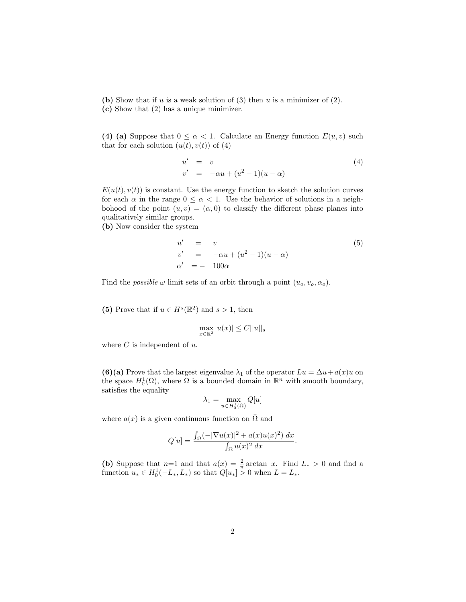(b) Show that if u is a weak solution of  $(3)$  then u is a minimizer of  $(2)$ . (c) Show that (2) has a unique minimizer.

(4) (a) Suppose that  $0 \leq \alpha < 1$ . Calculate an Energy function  $E(u, v)$  such that for each solution  $(u(t), v(t))$  of  $(4)$ 

$$
u' = v v' = -\alpha u + (u^2 - 1)(u - \alpha)
$$
 (4)

 $E(u(t), v(t))$  is constant. Use the energy function to sketch the solution curves for each  $\alpha$  in the range  $0 \leq \alpha < 1$ . Use the behavior of solutions in a neighbohood of the point  $(u, v) = (\alpha, 0)$  to classify the different phase planes into qualitatively similar groups.

(b) Now consider the system

$$
u' = v
$$
  
\n
$$
v' = -\alpha u + (u^2 - 1)(u - \alpha)
$$
  
\n
$$
\alpha' = -100\alpha
$$
\n(5)

Find the *possible*  $\omega$  limit sets of an orbit through a point  $(u_0, v_0, \alpha_o)$ .

(5) Prove that if  $u \in H^s(\mathbb{R}^2)$  and  $s > 1$ , then

$$
\max_{x \in \mathbb{R}^2} |u(x)| \le C ||u||_s
$$

where  $C$  is independent of  $u$ .

(6)(a) Prove that the largest eigenvalue  $\lambda_1$  of the operator  $Lu = \Delta u + a(x)u$  on the space  $H_0^1(\Omega)$ , where  $\Omega$  is a bounded domain in  $\mathbb{R}^n$  with smooth boundary, satisfies the equality

$$
\lambda_1=\max_{u\in H^1_0(\Omega)}Q[u]
$$

where  $a(x)$  is a given continuous function on  $\overline{\Omega}$  and

$$
Q[u] = \frac{\int_{\Omega} (-|\nabla u(x)|^2 + a(x)u(x)^2) dx}{\int_{\Omega} u(x)^2 dx}.
$$

(b) Suppose that  $n=1$  and that  $a(x) = \frac{2}{\pi} \arctan x$ . Find  $L_* > 0$  and find a function  $u_* \in H_0^1(-L_*, L_*)$  so that  $Q[u_*] > 0$  when  $L = L_*$ .